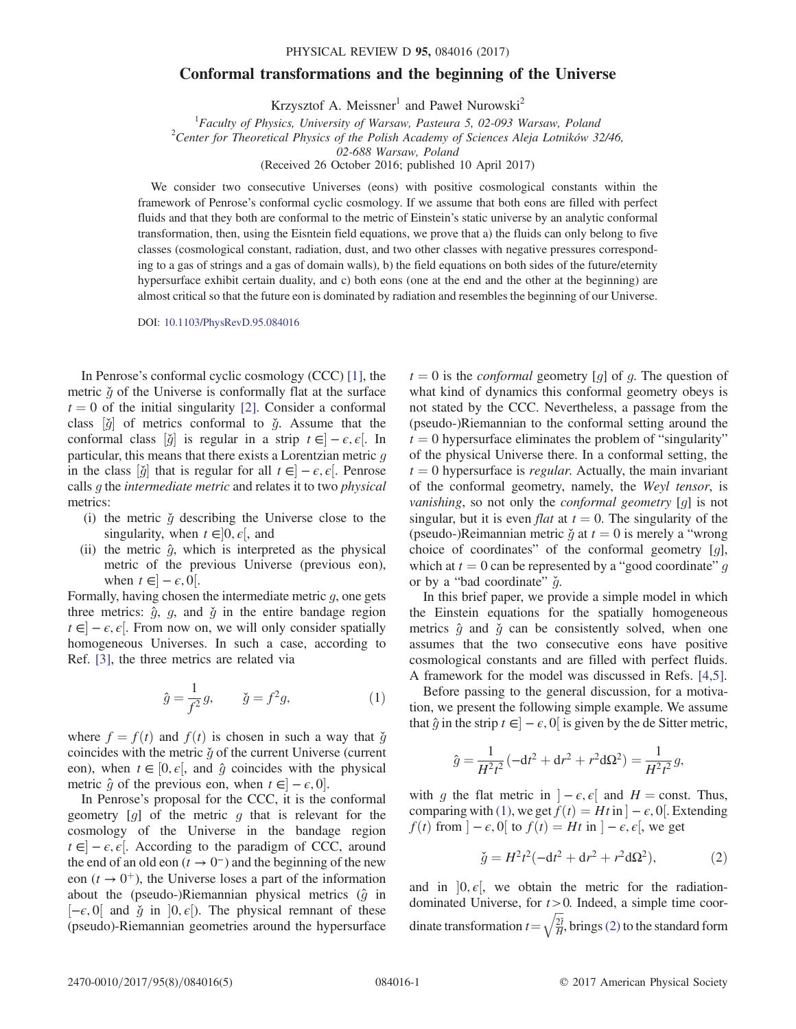## Conformal transformations and the beginning of the Universe

Krzysztof A. Meissner<sup>1</sup> and Paweł Nurowski<sup>2</sup>

<sup>1</sup> Faculty of Physics, University of Warsaw, Pasteura 5, 02-093 Warsaw, Poland<br><sup>2</sup>Center for Theoretical Physics of the Polish Asadamy of Sciences Aleia Letnikáy, <sup>2</sup> <sup>2</sup> Center for Theoretical Physics of the Polish Academy of Sciences Aleja Lotników 32/46,

02-688 Warsaw, Poland

(Received 26 October 2016; published 10 April 2017)

We consider two consecutive Universes (eons) with positive cosmological constants within the framework of Penrose's conformal cyclic cosmology. If we assume that both eons are filled with perfect fluids and that they both are conformal to the metric of Einstein's static universe by an analytic conformal transformation, then, using the Eisntein field equations, we prove that a) the fluids can only belong to five classes (cosmological constant, radiation, dust, and two other classes with negative pressures corresponding to a gas of strings and a gas of domain walls), b) the field equations on both sides of the future/eternity hypersurface exhibit certain duality, and c) both eons (one at the end and the other at the beginning) are almost critical so that the future eon is dominated by radiation and resembles the beginning of our Universe.

DOI: [10.1103/PhysRevD.95.084016](https://doi.org/10.1103/PhysRevD.95.084016)

In Penrose's conformal cyclic cosmology (CCC) [\[1\]](#page-4-0), the metric  $\check{g}$  of the Universe is conformally flat at the surface  $t = 0$  of the initial singularity [\[2\]](#page-4-1). Consider a conformal class  $[\check{g}]$  of metrics conformal to  $\check{g}$ . Assume that the conformal class  $[\check{g}]$  is regular in a strip  $t \in ]-e,e[$  In conformal class  $[\check{g}]$  is regular in a strip  $t \in ]-\epsilon, \epsilon[$ . In particular this means that there exists a Lorentzian metric quality particular, this means that there exists a Lorentzian metric  $q$ in the class  $[\check{g}]$  that is regular for all  $t \in ]-\epsilon, \epsilon[$ . Penrose<br>calls a the intermediate metric and relates it to two physical calls  $g$  the intermediate metric and relates it to two physical metrics:

- (i) the metric  $\check{q}$  describing the Universe close to the singularity, when  $t \in ]0, \epsilon[$ , and<br>the metric  $\hat{\sigma}$  which is interpre-
- (ii) the metric  $\hat{g}$ , which is interpreted as the physical metric of the previous Universe (previous eon), when  $t \in ]-\epsilon, 0[$ .<br>Ily having chosen

<span id="page-0-0"></span>Formally, having chosen the intermediate metric  $q$ , one gets three metrics:  $\hat{q}$ ,  $q$ , and  $\check{q}$  in the entire bandage region  $t \in ]-\epsilon, \epsilon[$ . From now on, we will only consider spatially homogeneous Universes. In such a case according to homogeneous Universes. In such a case, according to Ref. [\[3\]](#page-4-2), the three metrics are related via

$$
\hat{g} = \frac{1}{f^2} g, \quad \check{g} = f^2 g,
$$
\n(1)

where  $f = f(t)$  and  $f(t)$  is chosen in such a way that  $\check{g}$ coincides with the metric  $\check{q}$  of the current Universe (current eon), when  $t \in [0, \epsilon]$ , and  $\hat{q}$  coincides with the physical metric  $\hat{g}$  of the previous eon, when  $t \in ]-\epsilon, 0]$ .<br>In Penrose's proposal for the CCC it is the

In Penrose's proposal for the CCC, it is the conformal geometry  $[g]$  of the metric g that is relevant for the cosmology of the Universe in the bandage region  $t \in ]-\epsilon, \epsilon[$ . According to the paradigm of CCC, around<br>the end of an old eon  $(t \to 0^-)$  and the beginning of the new the end of an old eon ( $t \to 0^-$ ) and the beginning of the new eon ( $t \rightarrow 0^+$ ), the Universe loses a part of the information about the (pseudo-)Riemannian physical metrics  $(\hat{q}$  in  $[-\epsilon, 0]$  and  $\check{g}$  in  $]0, \epsilon]$ ). The physical remnant of these (pseudo)-Riemannian geometries around the hypersurface (pseudo)-Riemannian geometries around the hypersurface  $t = 0$  is the *conformal* geometry [g] of g. The question of what kind of dynamics this conformal geometry obeys is not stated by the CCC. Nevertheless, a passage from the (pseudo-)Riemannian to the conformal setting around the  $t = 0$  hypersurface eliminates the problem of "singularity" of the physical Universe there. In a conformal setting, the  $t = 0$  hypersurface is *regular*. Actually, the main invariant of the conformal geometry, namely, the Weyl tensor, is vanishing, so not only the conformal geometry [g] is not singular, but it is even *flat* at  $t = 0$ . The singularity of the (pseudo-)Reimannian metric  $\check{g}$  at  $t = 0$  is merely a "wrong choice of coordinates" of the conformal geometry [g], which at  $t = 0$  can be represented by a "good coordinate" q or by a "bad coordinate"  $\check{q}$ .

In this brief paper, we provide a simple model in which the Einstein equations for the spatially homogeneous metrics  $\hat{g}$  and  $\check{g}$  can be consistently solved, when one assumes that the two consecutive eons have positive cosmological constants and are filled with perfect fluids. A framework for the model was discussed in Refs. [\[4,5\]](#page-4-3).

Before passing to the general discussion, for a motivation, we present the following simple example. We assume that  $\hat{g}$  in the strip  $t \in ]-\epsilon, 0[$  is given by the de Sitter metric,

$$
\hat{g} = \frac{1}{H^2 t^2} \left( -dt^2 + dr^2 + r^2 d\Omega^2 \right) = \frac{1}{H^2 t^2} g,
$$

<span id="page-0-1"></span>with g the flat metric in  $]-\epsilon, \epsilon[$  and  $H = \text{const.}$  Thus,<br>comparing with (1) we get  $f(t) = Ht$  in  $]-\epsilon$  of Extending comparing with [\(1\),](#page-0-0) we get  $f(t) = Ht$  in  $] - \epsilon$ , 0[. Extending  $f(t)$  from  $] - \epsilon$ , 0[ to  $f(t) - Ht$  in  $] - \epsilon$ ,  $\epsilon$ [ we get  $f(t)$  from  $]-\epsilon, 0[$  to  $f(t) = Ht$  in  $]-\epsilon, \epsilon[$ , we get

$$
\check{g} = H^2 t^2 (-dt^2 + dr^2 + r^2 d\Omega^2),\tag{2}
$$

and in  $]0, \epsilon[$ , we obtain the metric for the radiation-<br>dominated Universe for  $t > 0$  Indeed a simple time coordominated Universe, for  $t > 0$ . Indeed, a simple time coordinate transformation  $t = \sqrt{\frac{2t}{H}}$  $\sqrt{\frac{2i}{H}}$ , brings [\(2\)](#page-0-1) to the standard form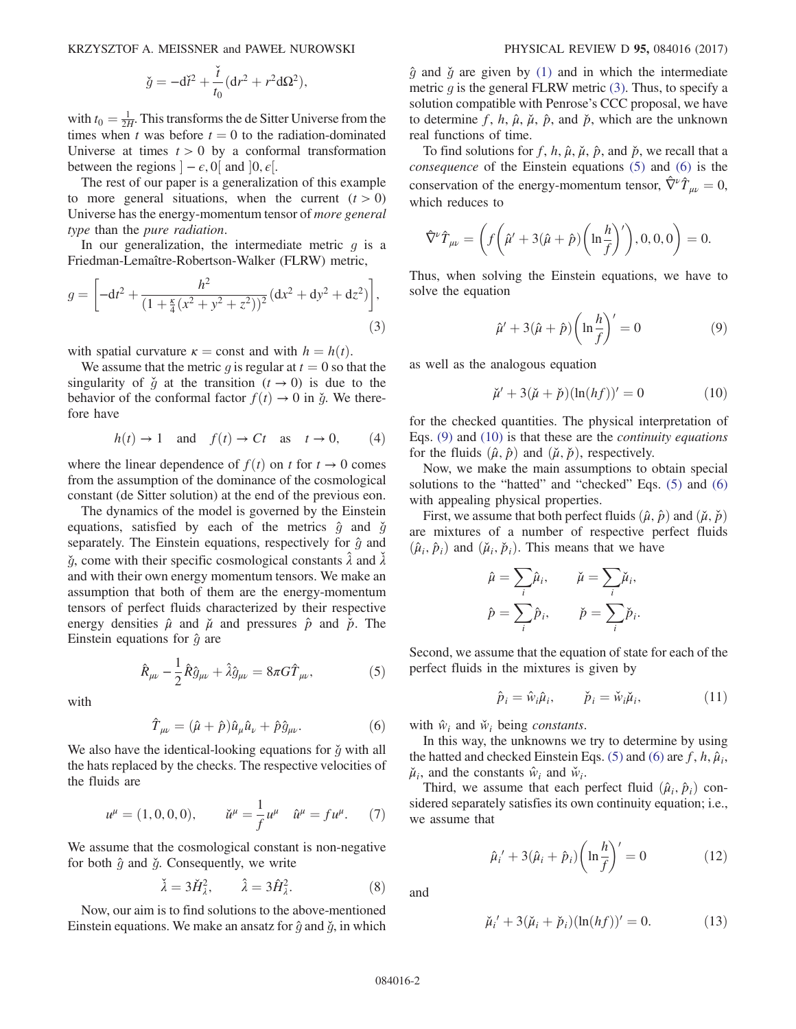KRZYSZTOF A. MEISSNER and PAWEŁ NUROWSKI PHYSICAL REVIEW D 95, 084016 (2017)

$$
\check{g} = -\mathrm{d}\check{t}^2 + \frac{\check{t}}{t_0}(\mathrm{d}r^2 + r^2\mathrm{d}\Omega^2),
$$

with  $t_0 = \frac{1}{2H}$ . This transforms the de Sitter Universe from the times when t was before  $t = 0$  to the radiation-dominated times when t was before  $t = 0$  to the radiation-dominated Universe at times  $t > 0$  by a conformal transformation between the regions  $]-\epsilon, 0[$  and  $]0, \epsilon[$ .<br>The rest of our paper is a generaliza

The rest of our paper is a generalization of this example to more general situations, when the current  $(t > 0)$ Universe has the energy-momentum tensor of more general type than the pure radiation.

<span id="page-1-0"></span>In our generalization, the intermediate metric  $q$  is a Friedman-Lemaître-Robertson-Walker (FLRW) metric,

$$
g = \left[ -dt^2 + \frac{h^2}{\left(1 + \frac{\kappa}{4}(x^2 + y^2 + z^2)\right)^2} (dx^2 + dy^2 + dz^2) \right],\tag{3}
$$

with spatial curvature  $\kappa =$  const and with  $h = h(t)$ .

<span id="page-1-7"></span>We assume that the metric q is regular at  $t = 0$  so that the singularity of  $\check{g}$  at the transition  $(t \to 0)$  is due to the behavior of the conformal factor  $f(t) \rightarrow 0$  in  $\check{g}$ . We therefore have

$$
h(t) \to 1
$$
 and  $f(t) \to Ct$  as  $t \to 0$ , (4)

where the linear dependence of  $f(t)$  on t for  $t \to 0$  comes from the assumption of the dominance of the cosmological constant (de Sitter solution) at the end of the previous eon.

The dynamics of the model is governed by the Einstein equations, satisfied by each of the metrics  $\hat{q}$  and  $\check{q}$ separately. The Einstein equations, respectively for  $\hat{g}$  and  $\check{g}$ , come with their specific cosmological constants  $\hat{\lambda}$  and  $\check{\lambda}$  and with their own energy momentum tensors. We make an and with their own energy momentum tensors. We make an assumption that both of them are the energy-momentum tensors of perfect fluids characterized by their respective energy densities  $\hat{\mu}$  and  $\check{\mu}$  and pressures  $\hat{p}$  and  $\check{p}$ . The Einstein equations for  $\hat{q}$  are

$$
\hat{R}_{\mu\nu} - \frac{1}{2}\hat{R}\hat{g}_{\mu\nu} + \hat{\lambda}\hat{g}_{\mu\nu} = 8\pi G\hat{T}_{\mu\nu},\tag{5}
$$

<span id="page-1-2"></span><span id="page-1-1"></span>with

$$
\hat{T}_{\mu\nu} = (\hat{\mu} + \hat{p})\hat{u}_{\mu}\hat{u}_{\nu} + \hat{p}\hat{g}_{\mu\nu}.
$$
 (6)

We also have the identical-looking equations for  $\check{g}$  with all the hats replaced by the checks. The respective velocities of the fluids are

$$
u^{\mu} = (1, 0, 0, 0), \qquad \check{u}^{\mu} = \frac{1}{f} u^{\mu} \quad \hat{u}^{\mu} = f u^{\mu}. \tag{7}
$$

We assume that the cosmological constant is non-negative for both  $\hat{g}$  and  $\check{g}$ . Consequently, we write

$$
\tilde{\lambda} = 3\tilde{H}_{\lambda}^2, \qquad \hat{\lambda} = 3\hat{H}_{\lambda}^2. \tag{8}
$$

Now, our aim is to find solutions to the above-mentioned Einstein equations. We make an ansatz for  $\hat{g}$  and  $\check{g}$ , in which  $\hat{g}$  and  $\check{g}$  are given by [\(1\)](#page-0-0) and in which the intermediate metric q is the general FLRW metric  $(3)$ . Thus, to specify a solution compatible with Penrose's CCC proposal, we have to determine f, h,  $\hat{\mu}$ ,  $\hat{\mu}$ ,  $\hat{p}$ , and  $\check{p}$ , which are the unknown real functions of time.

To find solutions for f, h,  $\hat{\mu}$ ,  $\hat{\mu}$ ,  $\hat{\mu}$ , and  $\hat{p}$ , we recall that a consequence of the Einstein equations [\(5\)](#page-1-1) and [\(6\)](#page-1-2) is the conservation of the energy-momentum tensor,  $\hat{\nabla}^{\nu} \hat{T}_{\mu\nu} = 0$ , which reduces to

$$
\hat{\nabla}^{\nu}\hat{T}_{\mu\nu} = \left(f\left(\hat{\mu}^{\prime} + 3(\hat{\mu} + \hat{p})\left(\ln\frac{h}{f}\right)^{\prime}\right), 0, 0, 0\right) = 0.
$$

<span id="page-1-3"></span>Thus, when solving the Einstein equations, we have to solve the equation

$$
\hat{\mu}' + 3(\hat{\mu} + \hat{p}) \left( \ln \frac{h}{f} \right)' = 0 \tag{9}
$$

<span id="page-1-4"></span>as well as the analogous equation

$$
\breve{\mu}' + 3(\breve{\mu} + \breve{p})(\ln(hf))' = 0 \tag{10}
$$

for the checked quantities. The physical interpretation of Eqs.  $(9)$  and  $(10)$  is that these are the *continuity equations* for the fluids  $(\hat{\mu}, \hat{p})$  and  $(\check{\mu}, \check{p})$ , respectively.

Now, we make the main assumptions to obtain special solutions to the "hatted" and "checked" Eqs. [\(5\)](#page-1-1) and [\(6\)](#page-1-2) with appealing physical properties.

First, we assume that both perfect fluids  $(\hat{\mu}, \hat{p})$  and  $(\check{\mu}, \check{p})$ are mixtures of a number of respective perfect fluids  $(\hat{\mu}_i, \hat{p}_i)$  and  $(\check{\mu}_i, \check{p}_i)$ . This means that we have

$$
\hat{\mu} = \sum_{i} \hat{\mu}_{i}, \qquad \check{\mu} = \sum_{i} \check{\mu}_{i},
$$

$$
\hat{p} = \sum_{i} \hat{p}_{i}, \qquad \check{p} = \sum_{i} \check{p}_{i}.
$$

Second, we assume that the equation of state for each of the perfect fluids in the mixtures is given by

$$
\hat{p}_i = \hat{w}_i \hat{\mu}_i, \qquad \check{p}_i = \check{w}_i \check{\mu}_i,
$$
\n(11)

with  $\hat{w}_i$  and  $\check{w}_i$  being constants.

In this way, the unknowns we try to determine by using the hatted and checked Einstein Eqs. [\(5\)](#page-1-1) and [\(6\)](#page-1-2) are  $f, h, \hat{\mu}_i$ ,  $\tilde{\mu}_i$ , and the constants  $\hat{w}_i$  and  $\check{w}_i$ .<br>Third we assume that each i

<span id="page-1-5"></span>Third, we assume that each perfect fluid  $(\hat{\mu}_i, \hat{p}_i)$  considered separately satisfies its own continuity equation; i.e., we assume that

$$
\hat{\mu}_i' + 3(\hat{\mu}_i + \hat{p}_i) \left( \ln \frac{h}{f} \right)' = 0 \tag{12}
$$

<span id="page-1-6"></span>and

$$
\check{\mu}_i' + 3(\check{\mu}_i + \check{p}_i)(\ln(hf))' = 0.
$$
 (13)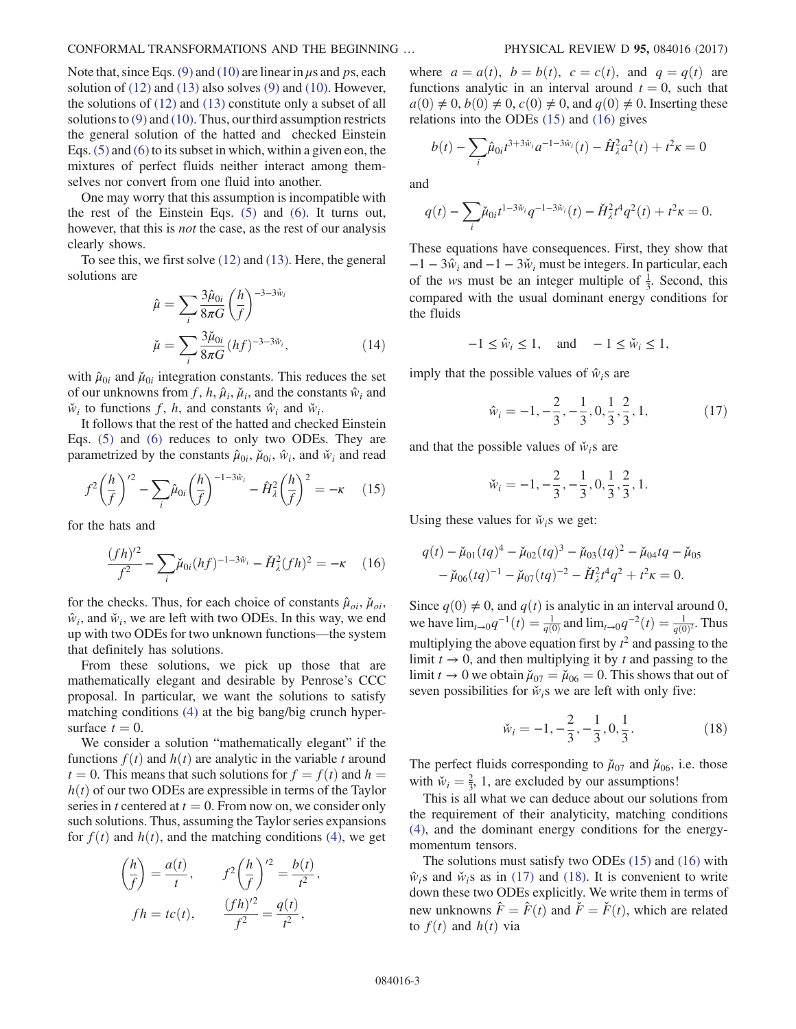Note that, since Eqs. [\(9\)](#page-1-3) and [\(10\)](#page-1-4) are linear in  $\mu$ s and ps, each solution of  $(12)$  and  $(13)$  also solves  $(9)$  and  $(10)$ . However, the solutions of [\(12\)](#page-1-5) and [\(13\)](#page-1-6) constitute only a subset of all solutions to [\(9\)](#page-1-3) and [\(10\).](#page-1-4) Thus, our third assumption restricts the general solution of the hatted and checked Einstein Eqs. [\(5\)](#page-1-1) and [\(6\)](#page-1-2) to its subset in which, within a given eon, the mixtures of perfect fluids neither interact among themselves nor convert from one fluid into another.

One may worry that this assumption is incompatible with the rest of the Einstein Eqs. [\(5\)](#page-1-1) and [\(6\)](#page-1-2). It turns out, however, that this is not the case, as the rest of our analysis clearly shows.

<span id="page-2-4"></span>To see this, we first solve [\(12\)](#page-1-5) and [\(13\).](#page-1-6) Here, the general solutions are

$$
\hat{\mu} = \sum_{i} \frac{3\hat{\mu}_{0i}}{8\pi G} \left(\frac{h}{f}\right)^{-3-3\hat{w}_i}
$$
\n
$$
\check{\mu} = \sum_{i} \frac{3\check{\mu}_{0i}}{8\pi G} (hf)^{-3-3\check{w}_i},
$$
\n(14)

with  $\hat{\mu}_{0i}$  and  $\check{\mu}_{0i}$  integration constants. This reduces the set of our unknowns from f, h,  $\hat{\mu}_i$ ,  $\check{\mu}_i$ , and the constants  $\hat{w}_i$  and  $\check{w}_i$  to functions f, h, and constants  $\hat{w}_i$  and  $\check{w}_i$ .

<span id="page-2-0"></span>It follows that the rest of the hatted and checked Einstein Eqs. [\(5\)](#page-1-1) and [\(6\)](#page-1-2) reduces to only two ODEs. They are parametrized by the constants  $\hat{\mu}_{0i}$ ,  $\check{\mu}_{0i}$ ,  $\hat{w}_i$ , and  $\check{w}_i$  and read

$$
f^{2}\left(\frac{h}{f}\right)^{2} - \sum_{i} \hat{\mu}_{0i} \left(\frac{h}{f}\right)^{-1-3\hat{w}_{i}} - \hat{H}_{\lambda}^{2}\left(\frac{h}{f}\right)^{2} = -\kappa \quad (15)
$$

<span id="page-2-1"></span>for the hats and

$$
\frac{(fh)^{2}}{f^2} - \sum_{i} \check{\mu}_{0i}(hf)^{-1-3\check{w}_i} - \check{H}^2_{\lambda}(fh)^2 = -\kappa \quad (16)
$$

for the checks. Thus, for each choice of constants  $\hat{\mu}_{oi}$ ,  $\check{\mu}_{oi}$ ,  $\hat{w}_i$ , and  $\check{w}_i$ , we are left with two ODEs. In this way, we end up with two ODEs for two unknown functions—the system that definitely has solutions.

From these solutions, we pick up those that are mathematically elegant and desirable by Penrose's CCC proposal. In particular, we want the solutions to satisfy matching conditions [\(4\)](#page-1-7) at the big bang/big crunch hypersurface  $t = 0$ .

We consider a solution "mathematically elegant" if the functions  $f(t)$  and  $h(t)$  are analytic in the variable t around  $t = 0$ . This means that such solutions for  $f = f(t)$  and  $h =$  $h(t)$  of our two ODEs are expressible in terms of the Taylor series in t centered at  $t = 0$ . From now on, we consider only such solutions. Thus, assuming the Taylor series expansions for  $f(t)$  and  $h(t)$ , and the matching conditions [\(4\),](#page-1-7) we get

$$
\left(\frac{h}{f}\right) = \frac{a(t)}{t}, \qquad f^2 \left(\frac{h}{f}\right)^{12} = \frac{b(t)}{t^2},
$$
  

$$
fh = tc(t), \qquad \frac{(fh)^{12}}{f^2} = \frac{q(t)}{t^2},
$$

where  $a = a(t)$ ,  $b = b(t)$ ,  $c = c(t)$ , and  $q = q(t)$  are functions analytic in an interval around  $t = 0$ , such that  $a(0) \neq 0$ ,  $b(0) \neq 0$ ,  $c(0) \neq 0$ , and  $q(0) \neq 0$ . Inserting these relations into the ODEs [\(15\)](#page-2-0) and [\(16\)](#page-2-1) gives

$$
b(t) - \sum_{i} \hat{\mu}_{0i} t^{3+3\hat{w}_i} a^{-1-3\hat{w}_i}(t) - \hat{H}^2_{\lambda} a^2(t) + t^2 \kappa = 0
$$

and

$$
q(t) - \sum_{i} \check{\mu}_{0i} t^{1-3\check{w}_i} q^{-1-3\check{w}_i}(t) - \check{H}^2_{\lambda} t^4 q^2(t) + t^2 \kappa = 0.
$$

These equations have consequences. First, they show that  $-1 - 3\hat{w}_i$  and  $-1 - 3\check{w}_i$  must be integers. In particular, each of the ws must be an integer multiple of  $\frac{1}{3}$ . Second, this compared with the usual dominant energy conditions for compared with the usual dominant energy conditions for the fluids

$$
-1 \le \hat{w}_i \le 1, \quad \text{and} \quad -1 \le \check{w}_i \le 1,
$$

<span id="page-2-2"></span>imply that the possible values of  $\hat{w}_i$  is are

$$
\hat{w}_i = -1, -\frac{2}{3}, -\frac{1}{3}, 0, \frac{1}{3}, \frac{2}{3}, 1,
$$
\n(17)

and that the possible values of  $\check{w}_i$ s are

$$
\check{w}_i = -1, -\frac{2}{3}, -\frac{1}{3}, 0, \frac{1}{3}, \frac{2}{3}, 1.
$$

Using these values for  $\check{w}_i$ s we get:

$$
q(t) - \check{\mu}_{01}(tq)^4 - \check{\mu}_{02}(tq)^3 - \check{\mu}_{03}(tq)^2 - \check{\mu}_{04}tq - \check{\mu}_{05}
$$
  
- 
$$
\check{\mu}_{06}(tq)^{-1} - \check{\mu}_{07}(tq)^{-2} - \check{H}_{\lambda}^2 t^4 q^2 + t^2 \kappa = 0.
$$

<span id="page-2-3"></span>Since  $q(0) \neq 0$ , and  $q(t)$  is analytic in an interval around 0, we have  $\lim_{t\to 0} q^{-1}(t) = \frac{1}{q(0)}$  and  $\lim_{t\to 0} q^{-2}(t) = \frac{1}{q(0)^2}$ . Thus multiplying the above equation first by  $t^2$  and passing to the limit  $t \to 0$  and then multiplying it by t and passing to the limit  $t \to 0$ , and then multiplying it by t and passing to the limit  $t \to 0$  we obtain  $\mu_{07} = \mu_{06} = 0$ . This shows that out of seven possibilities for  $\check{w}_i$ s we are left with only five:

$$
\check{w}_i = -1, -\frac{2}{3}, -\frac{1}{3}, 0, \frac{1}{3}.
$$
 (18)

The perfect fluids corresponding to  $\mu_{07}$  and  $\mu_{06}$ , i.e. those with  $\tilde{w}_i = \frac{2}{3}$ , 1, are excluded by our assumptions!<br>This is all what we can deduce about our solution

This is all what we can deduce about our solutions from the requirement of their analyticity, matching conditions [\(4\)](#page-1-7), and the dominant energy conditions for the energymomentum tensors.

The solutions must satisfy two ODEs [\(15\)](#page-2-0) and [\(16\)](#page-2-1) with  $\hat{w}_i$ s and  $\check{w}_i$ s as in [\(17\)](#page-2-2) and [\(18\).](#page-2-3) It is convenient to write down these two ODEs explicitly. We write them in terms of new unknowns  $\hat{F} = \hat{F}(t)$  and  $\check{F} = \check{F}(t)$ , which are related to  $f(t)$  and  $h(t)$  via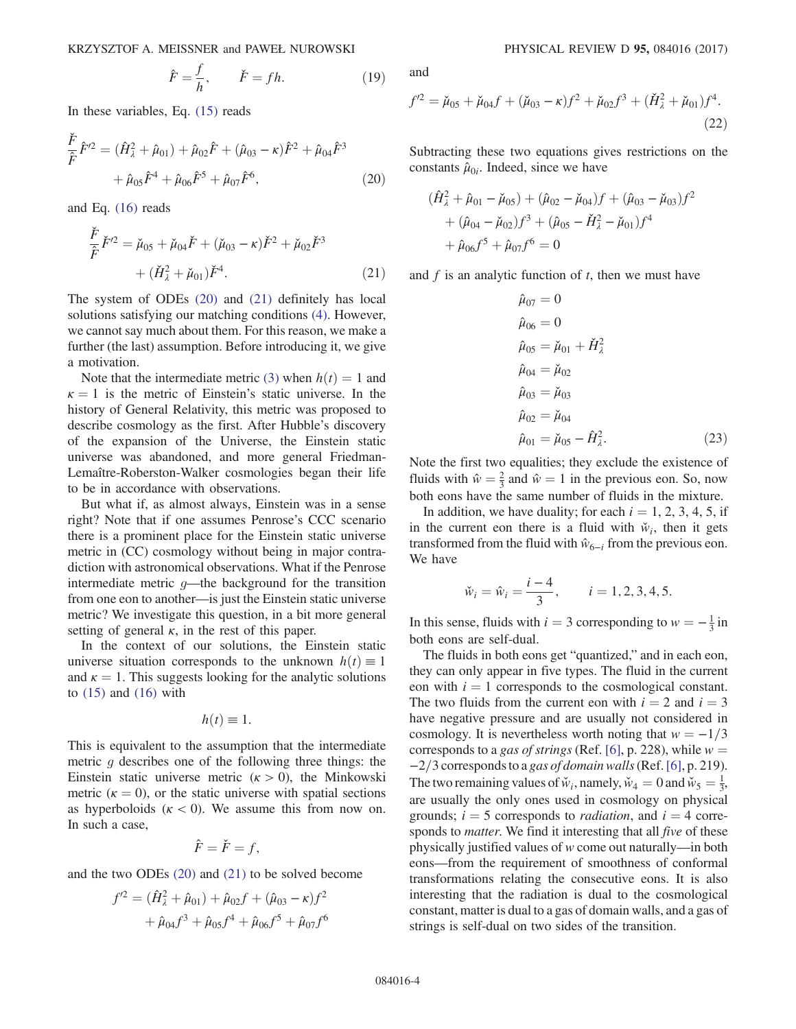$$
\hat{F} = \frac{f}{h}, \qquad \check{F} = fh. \tag{19}
$$

<span id="page-3-0"></span>In these variables, Eq. [\(15\)](#page-2-0) reads

$$
\frac{\check{F}}{\hat{F}}\hat{F}^{\prime 2} = (\hat{H}_{\lambda}^2 + \hat{\mu}_{01}) + \hat{\mu}_{02}\hat{F} + (\hat{\mu}_{03} - \kappa)\hat{F}^2 + \hat{\mu}_{04}\hat{F}^3 \n+ \hat{\mu}_{05}\hat{F}^4 + \hat{\mu}_{06}\hat{F}^5 + \hat{\mu}_{07}\hat{F}^6,
$$
\n(20)

<span id="page-3-1"></span>and Eq. [\(16\)](#page-2-1) reads

$$
\frac{\check{F}}{\hat{F}}\check{F}^{\prime 2} = \check{\mu}_{05} + \check{\mu}_{04}\check{F} + (\check{\mu}_{03} - \kappa)\check{F}^2 + \check{\mu}_{02}\check{F}^3 \n+ (\check{H}_{\lambda}^2 + \check{\mu}_{01})\check{F}^4.
$$
\n(21)

The system of ODEs [\(20\)](#page-3-0) and [\(21\)](#page-3-1) definitely has local solutions satisfying our matching conditions [\(4\).](#page-1-7) However, we cannot say much about them. For this reason, we make a further (the last) assumption. Before introducing it, we give a motivation.

Note that the intermediate metric [\(3\)](#page-1-0) when  $h(t) = 1$  and  $\kappa = 1$  is the metric of Einstein's static universe. In the history of General Relativity, this metric was proposed to describe cosmology as the first. After Hubble's discovery of the expansion of the Universe, the Einstein static universe was abandoned, and more general Friedman-Lemaître-Roberston-Walker cosmologies began their life to be in accordance with observations.

But what if, as almost always, Einstein was in a sense right? Note that if one assumes Penrose's CCC scenario there is a prominent place for the Einstein static universe metric in (CC) cosmology without being in major contradiction with astronomical observations. What if the Penrose intermediate metric  $g$ —the background for the transition from one eon to another—is just the Einstein static universe metric? We investigate this question, in a bit more general setting of general  $\kappa$ , in the rest of this paper.

In the context of our solutions, the Einstein static universe situation corresponds to the unknown  $h(t) \equiv 1$ and  $\kappa = 1$ . This suggests looking for the analytic solutions to  $(15)$  and  $(16)$  with

$$
h(t)\equiv 1.
$$

This is equivalent to the assumption that the intermediate metric  $g$  describes one of the following three things: the Einstein static universe metric  $(\kappa > 0)$ , the Minkowski metric ( $\kappa = 0$ ), or the static universe with spatial sections as hyperboloids  $(\kappa < 0)$ . We assume this from now on. In such a case,

$$
\hat{F} = \check{F} = f,
$$

and the two ODEs [\(20\)](#page-3-0) and [\(21\)](#page-3-1) to be solved become

$$
f'^2 = (\hat{H}_\lambda^2 + \hat{\mu}_{01}) + \hat{\mu}_{02}f + (\hat{\mu}_{03} - \kappa)f^2 + \hat{\mu}_{04}f^3 + \hat{\mu}_{05}f^4 + \hat{\mu}_{06}f^5 + \hat{\mu}_{07}f^6
$$

<span id="page-3-2"></span>and

$$
f^{\prime 2} = \check{\mu}_{05} + \check{\mu}_{04}f + (\check{\mu}_{03} - \kappa)f^2 + \check{\mu}_{02}f^3 + (\check{H}_\lambda^2 + \check{\mu}_{01})f^4.
$$
\n(22)

Subtracting these two equations gives restrictions on the constants  $\hat{\mu}_{0i}$ . Indeed, since we have

$$
(\hat{H}_{\lambda}^{2} + \hat{\mu}_{01} - \check{\mu}_{05}) + (\hat{\mu}_{02} - \check{\mu}_{04})f + (\hat{\mu}_{03} - \check{\mu}_{03})f^{2} + (\hat{\mu}_{04} - \check{\mu}_{02})f^{3} + (\hat{\mu}_{05} - \check{H}_{\lambda}^{2} - \check{\mu}_{01})f^{4} + \hat{\mu}_{06}f^{5} + \hat{\mu}_{07}f^{6} = 0
$$

<span id="page-3-3"></span>and  $f$  is an analytic function of  $t$ , then we must have

$$
\hat{\mu}_{07} = 0 \n\hat{\mu}_{06} = 0 \n\hat{\mu}_{05} = \check{\mu}_{01} + \check{H}_{\lambda}^{2} \n\hat{\mu}_{04} = \check{\mu}_{02} \n\hat{\mu}_{03} = \check{\mu}_{03} \n\hat{\mu}_{02} = \check{\mu}_{04} \n\hat{\mu}_{01} = \check{\mu}_{05} - \hat{H}_{\lambda}^{2}.
$$
\n(23)

Note the first two equalities; they exclude the existence of fluids with  $\hat{w} = \frac{2}{3}$  and  $\hat{w} = 1$  in the previous eon. So, now both eons have the same number of fluids in the mixture.

In addition, we have duality; for each  $i = 1, 2, 3, 4, 5$ , if in the current eon there is a fluid with  $\check{w}_i$ , then it gets transformed from the fluid with  $\hat{w}_{6-i}$  from the previous eon. We have

$$
\tilde{w}_i = \hat{w}_i = \frac{i-4}{3}, \qquad i = 1, 2, 3, 4, 5.
$$

In this sense, fluids with  $i = 3$  corresponding to  $w = -\frac{1}{3}$  in hoth cons are self-dual both eons are self-dual.

The fluids in both eons get "quantized," and in each eon, they can only appear in five types. The fluid in the current eon with  $i = 1$  corresponds to the cosmological constant. The two fluids from the current eon with  $i = 2$  and  $i = 3$ have negative pressure and are usually not considered in cosmology. It is nevertheless worth noting that  $w = -1/3$ corresponds to a *gas of strings* (Ref. [\[6\],](#page-4-4) p. 228), while  $w =$  $-2/3$  corresponds to a *gas of domain walls* (Ref. [\[6\],](#page-4-4) p. 219). The two remaining values of  $\tilde{w}_i$ , namely,  $\tilde{w}_4 = 0$  and  $\tilde{w}_5 = \frac{1}{3}$ , are usually the only ones used in cosmology on physical grounds;  $i = 5$  corresponds to *radiation*, and  $i = 4$  corresponds to *matter*. We find it interesting that all *five* of these physically justified values of w come out naturally—in both eons—from the requirement of smoothness of conformal transformations relating the consecutive eons. It is also interesting that the radiation is dual to the cosmological constant, matter is dual to a gas of domain walls, and a gas of strings is self-dual on two sides of the transition.